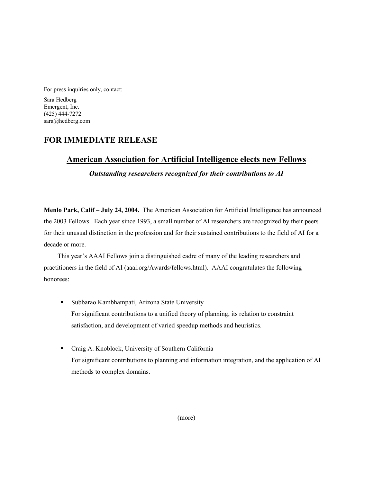For press inquiries only, contact:

Sara Hedberg Emergent, Inc. (425) 444-7272 sara@hedberg.com

## **FOR IMMEDIATE RELEASE**

## **American Association for Artificial Intelligence elects new Fellows**

*Outstanding researchers recognized for their contributions to AI*

**Menlo Park, Calif – July 24, 2004.** The American Association for Artificial Intelligence has announced the 2003 Fellows. Each year since 1993, a small number of AI researchers are recognized by their peers for their unusual distinction in the profession and for their sustained contributions to the field of AI for a decade or more.

This year's AAAI Fellows join a distinguished cadre of many of the leading researchers and practitioners in the field of AI (aaai.org/Awards/fellows.html). AAAI congratulates the following honorees:

- Subbarao Kambhampati, Arizona State University For significant contributions to a unified theory of planning, its relation to constraint satisfaction, and development of varied speedup methods and heuristics.
- Craig A. Knoblock, University of Southern California For significant contributions to planning and information integration, and the application of AI methods to complex domains.